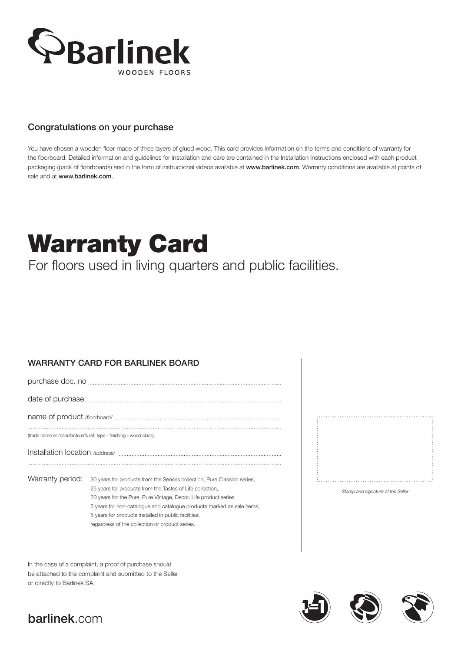

### Congratulations on your purchase

You have chosen a wooden floor made of three layers of glued wood. This card provides information on the terms and conditions of warranty for the floorboard. Detailed information and guidelines for installation and care are contained in the Installation Instructions enclosed with each product packaging (pack of floorboards) and in the form of instructional videos available at www.barlinek.com. Warranty conditions are available at points of sale and at www.barlinek.com.

# Warranty Card

For floors used in living quarters and public facilities.

## WARRANTY CARD FOR BARLINEK BOARD

purchase doc. no

date of purchase

name of product /floorboard/

(trade name or manufacturer's ref, type - finishing - wood class)

Installation location /address/

Warranty period: 30 years for products from the Senses collection, Pure Classico series, 25 years for products from the Tastes of Life collection, 20 years for the Pure, Pure Vintage, Decor, Life product series 5 years for non-catalogue and catalogue products marked as sale items, 5 years for products installed in public facilities, regardless of the collection or product series.

In the case of a complaint, a proof of purchase should be attached to the complaint and submitted to the Seller or directly to Barlinek SA.





# barlinek.com